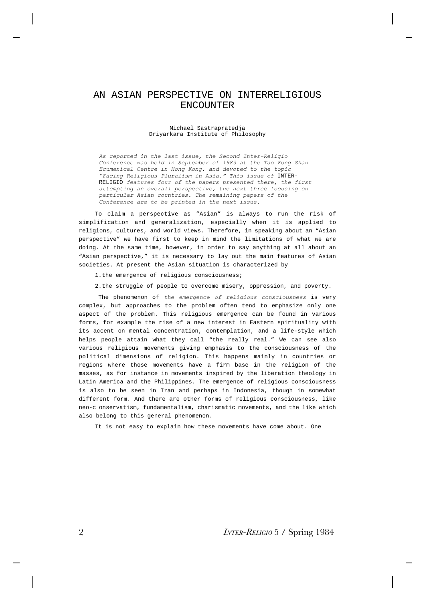## AN ASIAN PERSPECTIVE ON INTERRELIGIOUS ENCOUNTER

## Michael Sastrapratedja Driyarkara Institute of Philosophy

*As reported in the last issue, the Second Inter-Religio Conference was held in September of 1983 at the Tao Fong Shan Ecumenical Centre in Hong Kong, and devoted to the topic "Facing Religious Pluralism in Asia." This issue of* INTER-RELIGIO *features four of the papers presented there, the first attempting an overall perspective, the next three focusing on particular Asian countries. The remaining papers of the Conference are to be printed in the next issue.*

To claim a perspective as "Asian" is always to run the risk of simplification and generalization, especially when it is applied to religions, cultures, and world views. Therefore, in speaking about an "Asian perspective" we have first to keep in mind the limitations of what we are doing. At the same time, however, in order to say anything at all about an "Asian perspective," it is necessary to lay out the main features of Asian societies. At present the Asian situation is characterized by

1.the emergence of religious consciousness;

2.the struggle of people to overcome misery, oppression, and poverty.

 The phenomenon of *the emergence of religious consciousness* is very complex, but approaches to the problem often tend to emphasize only one aspect of the problem. This religious emergence can be found in various forms, for example the rise of a new interest in Eastern spirituality with its accent on mental concentration, contemplation, and a life-style which helps people attain what they call "the really real." We can see also various religious movements giving emphasis to the consciousness of the political dimensions of religion. This happens mainly in countries or regions where those movements have a firm base in the religion of the masses, as for instance in movements inspired by the liberation theology in Latin America and the Philippines. The emergence of religious consciousness is also to be seen in Iran and perhaps in Indonesia, though in somewhat different form. And there are other forms of religious consciousness, like neo-c onservatism, fundamentalism, charismatic movements, and the like which also belong to this general phenomenon.

It is not easy to explain how these movements have come about. One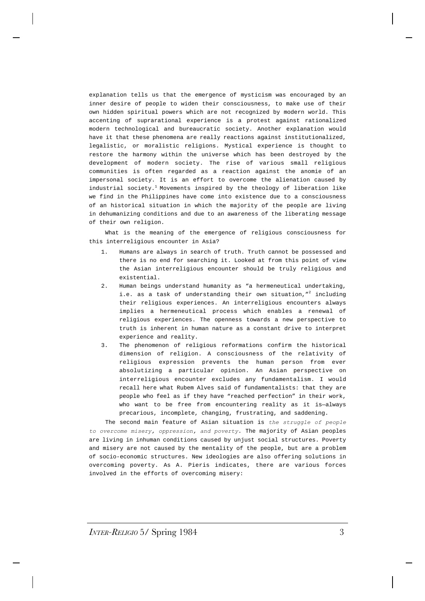explanation tells us that the emergence of mysticism was encouraged by an inner desire of people to widen their consciousness, to make use of their own hidden spiritual powers which are not recognized by modern world. This accenting of suprarational experience is a protest against rationalized modern technological and bureaucratic society. Another explanation would have it that these phenomena are really reactions against institutionalized, legalistic, or moralistic religions. Mystical experience is thought to restore the harmony within the universe which has been destroyed by the development of modern society. The rise of various small religious communities is often regarded as a reaction against the anomie of an impersonal society. It is an effort to overcome the alienation caused by industrial society.<sup>1</sup> Movements inspired by the theology of liberation like we find in the Philippines have come into existence due to a consciousness of an historical situation in which the majority of the people are living in dehumanizing conditions and due to an awareness of the liberating message of their own religion.

What is the meaning of the emergence of religious consciousness for this interreligious encounter in Asia?

- 1. Humans are always in search of truth. Truth cannot be possessed and there is no end for searching it. Looked at from this point of view the Asian interreligious encounter should be truly religious and existential.
- 2. Human beings understand humanity as "a hermeneutical undertaking, i.e. as a task of understanding their own situation,  $n^2$  including their religious experiences. An interreligious encounters always implies a hermeneutical process which enables a renewal of religious experiences. The openness towards a new perspective to truth is inherent in human nature as a constant drive to interpret experience and reality.
- 3. The phenomenon of religious reformations confirm the historical dimension of religion. A consciousness of the relativity of religious expression prevents the human person from ever absolutizing a particular opinion. An Asian perspective on interreligious encounter excludes any fundamentalism. I would recall here what Rubem Alves said of fundamentalists: that they are people who feel as if they have "reached perfection" in their work, who want to be free from encountering reality as it is-always precarious, incomplete, changing, frustrating, and saddening.

The second main feature of Asian situation is *the struggle of people to overcome misery, oppression, and poverty*. The majority of Asian peoples are living in inhuman conditions caused by unjust social structures. Poverty and misery are not caused by the mentality of the people, but are a problem of socio-economic structures. New ideologies are also offering solutions in overcoming poverty. As A. Pieris indicates, there are various forces involved in the efforts of overcoming misery: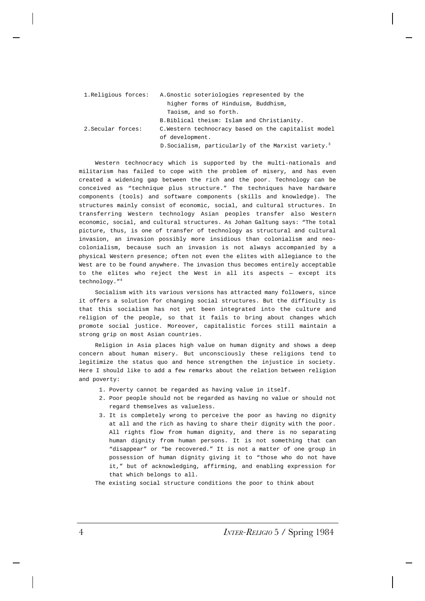| 1.Religious forces: | A. Gnostic soteriologies represented by the                     |
|---------------------|-----------------------------------------------------------------|
|                     | higher forms of Hinduism, Buddhism,                             |
|                     | Taoism, and so forth.                                           |
|                     | B. Biblical theism: Islam and Christianity.                     |
| 2. Secular forces:  | C. Western technocracy based on the capitalist model            |
|                     | of development.                                                 |
|                     | D. Socialism, particularly of the Marxist variety. <sup>3</sup> |

Western technocracy which is supported by the multi-nationals and militarism has failed to cope with the problem of misery, and has even created a widening gap between the rich and the poor. Technology can be conceived as "technique plus structure." The techniques have hardware components (tools) and software components (skills and knowledge). The structures mainly consist of economic, social, and cultural structures. In transferring Western technology Asian peoples transfer also Western economic, social, and cultural structures. As Johan Galtung says: "The total picture, thus, is one of transfer of technology as structural and cultural invasion, an invasion possibly more insidious than colonialism and neocolonialism, because such an invasion is not always accompanied by a physical Western presence; often not even the elites with allegiance to the West are to be found anywhere. The invasion thus becomes entirely acceptable to the elites who reject the West in all its aspects — except its technology."<sup>4</sup>

Socialism with its various versions has attracted many followers, since it offers a solution for changing social structures. But the difficulty is that this socialism has not yet been integrated into the culture and religion of the people, so that it fails to bring about changes which promote social justice. Moreover, capitalistic forces still maintain a strong grip on most Asian countries.

Religion in Asia places high value on human dignity and shows a deep concern about human misery. But unconsciously these religions tend to legitimize the status quo and hence strengthen the injustice in society. Here I should like to add a few remarks about the relation between religion and poverty:

- 1. Poverty cannot be regarded as having value in itself.
- 2. Poor people should not be regarded as having no value or should not regard themselves as valueless.
- 3. It is completely wrong to perceive the poor as having no dignity at all and the rich as having to share their dignity with the poor. All rights flow from human dignity, and there is no separating human dignity from human persons. It is not something that can "disappear" or "be recovered." It is not a matter of one group in possession of human dignity giving it to "those who do not have it," but of acknowledging, affirming, and enabling expression for that which belongs to all.

The existing social structure conditions the poor to think about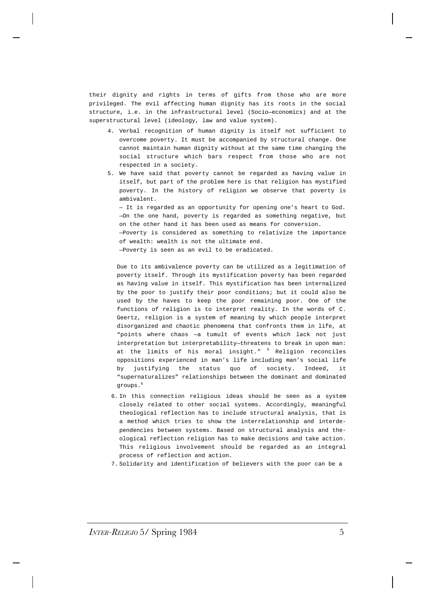their dignity and rights in terms of gifts from those who are more privileged. The evil affecting human dignity has its roots in the social structure, i.e. in the infrastructural level (Socio—economics) and at the superstructural level (ideology, law and value system).

- 4. Verbal recognition of human dignity is itself not sufficient to overcome poverty. It must be accompanied by structural change. One cannot maintain human dignity without at the same time changing the social structure which bars respect from those who are not respected in a society.
- 5. We have said that poverty cannot be regarded as having value in itself, but part of the problem here is that religion has mystified poverty. In the history of religion we observe that poverty is ambivalent.

— It is regarded as an opportunity for opening one's heart to God. —On the one hand, poverty is regarded as something negative, but on the other hand it has been used as means for conversion. —Poverty is considered as something to relativize the importance of wealth: wealth is not the ultimate end. —Poverty is seen as an evil to be eradicated.

Due to its ambivalence poverty can be utilized as a legitimation of poverty itself. Through its mystification poverty has been regarded as having value in itself. This mystification has been internalized by the poor to justify their poor conditions; but it could also be used by the haves to keep the poor remaining poor. One of the functions of religion is to interpret reality. In the words of C. Geertz, religion is a system of meaning by which people interpret disorganized and chaotic phenomena that confronts them in life, at "points where chaos —a tumult of events which lack not just interpretation but interpretability—threatens to break in upon man: at the limits of his moral insight." <sup>5</sup> Religion reconciles oppositions experienced in man's life including man's social life by justifying the status quo of society. Indeed, it "supernaturalizes" relationships between the dominant and dominated groups. 6

- 6. In this connection religious ideas should be seen as a system closely related to other social systems. Accordingly, meaningful theological reflection has to include structural analysis, that is a method which tries to show the interrelationship and interdependencies between systems. Based on structural analysis and theological reflection religion has to make decisions and take action. This religious involvement should be regarded as an integral process of reflection and action.
- 7. Solidarity and identification of believers with the poor can be a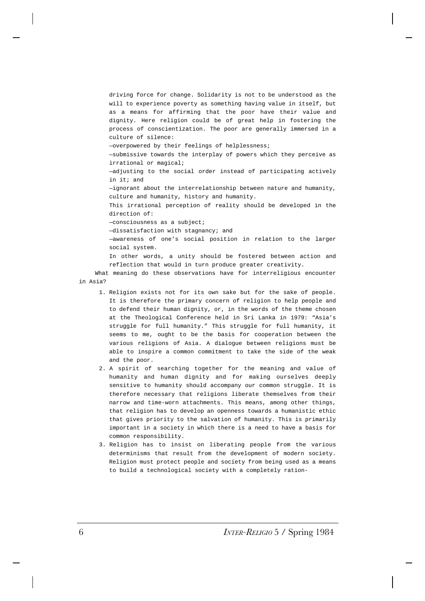driving force for change. Solidarity is not to be understood as the will to experience poverty as something having value in itself, but as a means for affirming that the poor have their value and dignity. Here religion could be of great help in fostering the process of conscientization. The poor are generally immersed in a culture of silence: —overpowered by their feelings of helplessness; —submissive towards the interplay of powers which they perceive as irrational or magical; —adjusting to the social order instead of participating actively in it; and —ignorant about the interrelationship between nature and humanity, culture and humanity, history and humanity. This irrational perception of reality should be developed in the direction of: —consciousness as a subject; —dissatisfaction with stagnancy; and —awareness of one's social position in relation to the larger social system. In other words, a unity should be fostered between action and reflection that would in turn produce greater creativity.

What meaning do these observations have for interreligious encounter in Asia?

- 1. Religion exists not for its own sake but for the sake of people. It is therefore the primary concern of religion to help people and to defend their human dignity, or, in the words of the theme chosen at the Theological Conference held in Sri Lanka in 1979: "Asia's struggle for full humanity." This struggle for full humanity, it seems to me, ought to be the basis for cooperation between the various religions of Asia. A dialogue between religions must be able to inspire a common commitment to take the side of the weak and the poor.
- 2. A spirit of searching together for the meaning and value of humanity and human dignity and for making ourselves deeply sensitive to humanity should accompany our common struggle. It is therefore necessary that religions liberate themselves from their narrow and time-worn attachments. This means, among other things, that religion has to develop an openness towards a humanistic ethic that gives priority to the salvation of humanity. This is primarily important in a society in which there is a need to have a basis for common responsibility.
- 3. Religion has to insist on liberating people from the various determinisms that result from the development of modern society. Religion must protect people and society from being used as a means to build a technological society with a completely ration-